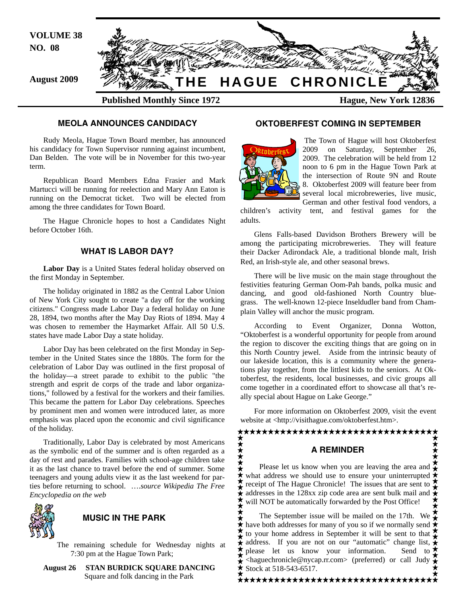

#### **MEOLA ANNOUNCES CANDIDACY**

Rudy Meola, Hague Town Board member, has announced his candidacy for Town Supervisor running against incumbent, Dan Belden. The vote will be in November for this two-year term.

Republican Board Members Edna Frasier and Mark Martucci will be running for reelection and Mary Ann Eaton is running on the Democrat ticket. Two will be elected from among the three candidates for Town Board.

The Hague Chronicle hopes to host a Candidates Night before October 16th.

## **WHAT IS LABOR DAY?**

**Labor Day** is a United States federal holiday observed on the first Monday in September.

The holiday originated in 1882 as the Central Labor Union of New York City sought to create "a day off for the working citizens." Congress made Labor Day a federal holiday on June 28, 1894, two months after the May Day Riots of 1894. May 4 was chosen to remember the Haymarket Affair. All 50 U.S. states have made Labor Day a state holiday.

Labor Day has been celebrated on the first Monday in September in the United States since the 1880s. The form for the celebration of Labor Day was outlined in the first proposal of the holiday—a street parade to exhibit to the public "the strength and esprit de corps of the trade and labor organizations," followed by a festival for the workers and their families. This became the pattern for Labor Day celebrations. Speeches by prominent men and women were introduced later, as more emphasis was placed upon the economic and civil significance of the holiday.

Traditionally, Labor Day is celebrated by most Americans as the symbolic end of the summer and is often regarded as a day of rest and parades. Families with school-age children take it as the last chance to travel before the end of summer. Some teenagers and young adults view it as the last weekend for parties before returning to school. ….*source Wikipedia The Free Encyclopedia on the web*



## **MUSIC IN THE PARK**

The remaining schedule for Wednesday nights at 7:30 pm at the Hague Town Park;

**August 26 STAN BURDICK SQUARE DANCING**  Square and folk dancing in the Park

## **OKTOBERFEST COMING IN SEPTEMBER**



 The Town of Hague will host Oktoberfest 2009 on Saturday, September 26, 2009. The celebration will be held from 12 noon to 6 pm in the Hague Town Park at the intersection of Route 9N and Route 8. Oktoberfest 2009 will feature beer from several local microbreweries, live music, German and other festival food vendors, a

children's activity tent, and festival games for the adults.

Glens Falls-based Davidson Brothers Brewery will be among the participating microbreweries. They will feature their Dacker Adirondack Ale, a traditional blonde malt, Irish Red, an Irish-style ale, and other seasonal brews.

There will be live music on the main stage throughout the festivities featuring German Oom-Pah bands, polka music and dancing, and good old-fashioned North Country bluegrass. The well-known 12-piece Inseldudler band from Champlain Valley will anchor the music program.

According to Event Organizer, Donna Wotton, "Oktoberfest is a wonderful opportunity for people from around the region to discover the exciting things that are going on in this North Country jewel. Aside from the intrinsic beauty of our lakeside location, this is a community where the generations play together, from the littlest kids to the seniors. At Oktoberfest, the residents, local businesses, and civic groups all come together in a coordinated effort to showcase all that's really special about Hague on Lake George."

For more information on Oktoberfest 2009, visit the event website at <http://visithague.com/oktoberfest.htm>.

# <del>★★★★★★★★★★★★★★★★★★★★★★★★★★★★★★★★</del>

## **A REMINDER**

\*\*\*\*\*\*\*\* Please let us know when you are leaving the area and what address we should use to ensure your uninterrupted receipt of The Hague Chronicle! The issues that are sent to addresses in the 128xx zip code area are sent bulk mail and  $\hat{\star}$ will NOT be automatically forwarded by the Post Office!

The September issue will be mailed on the 17th. We  $\sum_{n=1}^{\infty}$ have both addresses for many of you so if we normally send to your home address in September it will be sent to that address. If you are not on our "automatic" change list,  $\hat{\star}$ please let us know your information. Send to  $\star$ <haguechronicle@nycap.rr.com> (preferred) or call Judy Stock at 518-543-6517.

\*\*\*\*\*\*\*\*\*\*\*\*\*\*\*\*\*\*\*\*\*\*\*\*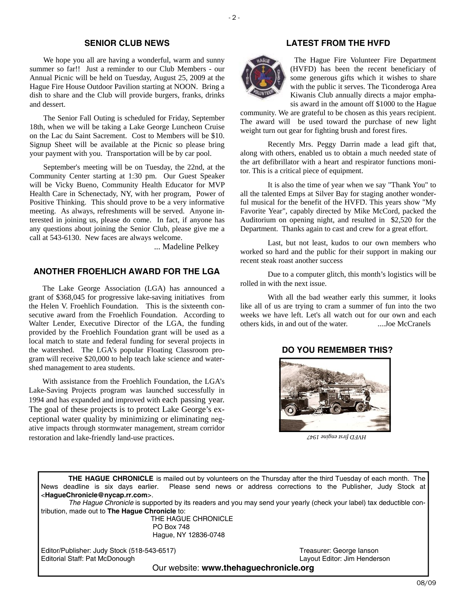## **SENIOR CLUB NEWS**

We hope you all are having a wonderful, warm and sunny summer so far!! Just a reminder to our Club Members - our Annual Picnic will be held on Tuesday, August 25, 2009 at the Hague Fire House Outdoor Pavilion starting at NOON. Bring a dish to share and the Club will provide burgers, franks, drinks and dessert.

The Senior Fall Outing is scheduled for Friday, September 18th, when we will be taking a Lake George Luncheon Cruise on the Lac du Saint Sacrement. Cost to Members will be \$10. Signup Sheet will be available at the Picnic so please bring your payment with you. Transportation will be by car pool.

September's meeting will be on Tuesday, the 22nd, at the Community Center starting at 1:30 pm. Our Guest Speaker will be Vicky Bueno, Community Health Educator for MVP Health Care in Schenectady, NY, with her program, Power of Positive Thinking. This should prove to be a very informative meeting. As always, refreshments will be served. Anyone interested in joining us, please do come. In fact, if anyone has any questions about joining the Senior Club, please give me a call at 543-6130. New faces are always welcome.

... Madeline Pelkey

#### **ANOTHER FROEHLICH AWARD FOR THE LGA**

The Lake George Association (LGA) has announced a grant of \$368,045 for progressive lake-saving initiatives from the Helen V. Froehlich Foundation. This is the sixteenth consecutive award from the Froehlich Foundation. According to Walter Lender, Executive Director of the LGA, the funding provided by the Froehlich Foundation grant will be used as a local match to state and federal funding for several projects in the watershed. The LGA's popular Floating Classroom program will receive \$20,000 to help teach lake science and watershed management to area students.

With assistance from the Froehlich Foundation, the LGA's Lake-Saving Projects program was launched successfully in 1994 and has expanded and improved with each passing year. The goal of these projects is to protect Lake George's exceptional water quality by minimizing or eliminating negative impacts through stormwater management, stream corridor restoration and lake-friendly land-use practices.

## **LATEST FROM THE HVFD**



 The Hague Fire Volunteer Fire Department (HVFD) has been the recent beneficiary of some generous gifts which it wishes to share with the public it serves. The Ticonderoga Area Kiwanis Club annually directs a major emphasis award in the amount off \$1000 to the Hague

community. We are grateful to be chosen as this years recipient. The award will be used toward the purchase of new light weight turn out gear for fighting brush and forest fires.

 Recently Mrs. Peggy Darrin made a lead gift that, along with others, enabled us to obtain a much needed state of the art defibrillator with a heart and respirator functions monitor. This is a critical piece of equipment.

 It is also the time of year when we say "Thank You" to all the talented Emps at Silver Bay for staging another wonderful musical for the benefit of the HVFD. This years show "My Favorite Year", capably directed by Mike McCord, packed the Auditorium on opening night, and resulted in \$2,520 for the Department. Thanks again to cast and crew for a great effort.

 Last, but not least, kudos to our own members who worked so hard and the public for their support in making our recent steak roast another success

 Due to a computer glitch, this month's logistics will be rolled in with the next issue.

 With all the bad weather early this summer, it looks like all of us are trying to cram a summer of fun into the two weeks we have left. Let's all watch out for our own and each others kids, in and out of the water. ....Joe McCranels

## **DO YOU REMEMBER THIS?**



*HVFD first engine 1947* 

**THE HAGUE CHRONICLE** is mailed out by volunteers on the Thursday after the third Tuesday of each month. The News deadline is six days earlier. Please send news or address corrections to the Publisher, Judy Stock at <**HagueChronicle@nycap.rr.com**>.

*The Hague Chronicle* is supported by its readers and you may send your yearly (check your label) tax deductible contribution, made out to **The Hague Chronicle** to:

> THE HAGUE CHRONICLE PO Box 748 Hague, NY 12836-0748

Editor/Publisher: Judy Stock (518-543-6517)<br>
Editorial Staff: Pat McDonough 
State Company Stock (518-543-6517)<br>
Layout Editor: Jim Henderson Editorial Staff: Pat McDonough

Our website: **www.thehaguechronicle.org**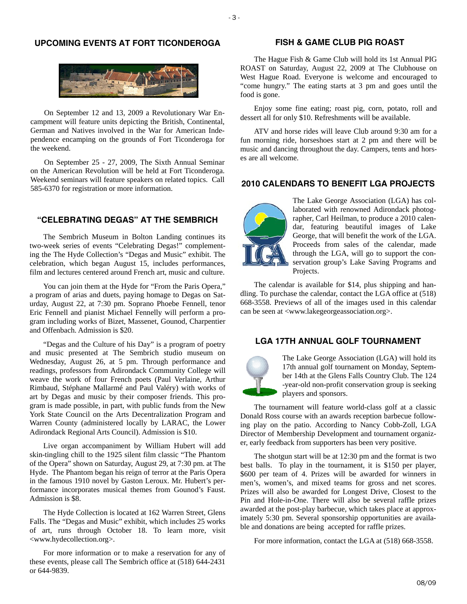## **UPCOMING EVENTS AT FORT TICONDEROGA**



On September 12 and 13, 2009 a Revolutionary War Encampment will feature units depicting the British, Continental, German and Natives involved in the War for American Independence encamping on the grounds of Fort Ticonderoga for the weekend.

On September 25 - 27, 2009, The Sixth Annual Seminar on the American Revolution will be held at Fort Ticonderoga. Weekend seminars will feature speakers on related topics. Call 585-6370 for registration or more information.

## **"CELEBRATING DEGAS" AT THE SEMBRICH**

The Sembrich Museum in Bolton Landing continues its two-week series of events "Celebrating Degas!" complementing the The Hyde Collection's "Degas and Music" exhibit. The celebration, which began August 15, includes performances, film and lectures centered around French art, music and culture.

You can join them at the Hyde for "From the Paris Opera," a program of arias and duets, paying homage to Degas on Saturday, August 22, at 7:30 pm. Soprano Phoebe Fennell, tenor Eric Fennell and pianist Michael Fennelly will perform a program including works of Bizet, Massenet, Gounod, Charpentier and Offenbach. Admission is \$20.

"Degas and the Culture of his Day" is a program of poetry and music presented at The Sembrich studio museum on Wednesday, August 26, at 5 pm. Through performance and readings, professors from Adirondack Community College will weave the work of four French poets (Paul Verlaine, Arthur Rimbaud, Stéphane Mallarmé and Paul Valéry) with works of art by Degas and music by their composer friends. This program is made possible, in part, with public funds from the New York State Council on the Arts Decentralization Program and Warren County (administered locally by LARAC, the Lower Adirondack Regional Arts Council). Admission is \$10.

Live organ accompaniment by William Hubert will add skin-tingling chill to the 1925 silent film classic "The Phantom of the Opera" shown on Saturday, August 29, at 7:30 pm. at The Hyde. The Phantom began his reign of terror at the Paris Opera in the famous 1910 novel by Gaston Leroux. Mr. Hubert's performance incorporates musical themes from Gounod's Faust. Admission is \$8.

The Hyde Collection is located at 162 Warren Street, Glens Falls. The "Degas and Music" exhibit, which includes 25 works of art, runs through October 18. To learn more, visit <www.hydecollection.org>.

For more information or to make a reservation for any of these events, please call The Sembrich office at (518) 644-2431 or 644-9839.

## **FISH & GAME CLUB PIG ROAST**

The Hague Fish & Game Club will hold its 1st Annual PIG ROAST on Saturday, August 22, 2009 at The Clubhouse on West Hague Road. Everyone is welcome and encouraged to "come hungry." The eating starts at 3 pm and goes until the food is gone.

Enjoy some fine eating; roast pig, corn, potato, roll and dessert all for only \$10. Refreshments will be available.

ATV and horse rides will leave Club around 9:30 am for a fun morning ride, horseshoes start at 2 pm and there will be music and dancing throughout the day. Campers, tents and horses are all welcome.

#### **2010 CALENDARS TO BENEFIT LGA PROJECTS**



The Lake George Association (LGA) has collaborated with renowned Adirondack photographer, Carl Heilman, to produce a 2010 calendar, featuring beautiful images of Lake George, that will benefit the work of the LGA. Proceeds from sales of the calendar, made through the LGA, will go to support the conservation group's Lake Saving Programs and Projects.

The calendar is available for \$14, plus shipping and handling. To purchase the calendar, contact the LGA office at (518) 668-3558. Previews of all of the images used in this calendar can be seen at <www.lakegeorgeassociation.org>.

## **LGA 17TH ANNUAL GOLF TOURNAMENT**



The Lake George Association (LGA) will hold its 17th annual golf tournament on Monday, September 14th at the Glens Falls Country Club. The 124 -year-old non-profit conservation group is seeking players and sponsors.

The tournament will feature world-class golf at a classic Donald Ross course with an awards reception barbecue following play on the patio. According to Nancy Cobb-Zoll, LGA Director of Membership Development and tournament organizer, early feedback from supporters has been very positive.

The shotgun start will be at 12:30 pm and the format is two best balls. To play in the tournament, it is \$150 per player, \$600 per team of 4. Prizes will be awarded for winners in men's, women's, and mixed teams for gross and net scores. Prizes will also be awarded for Longest Drive, Closest to the Pin and Hole-in-One. There will also be several raffle prizes awarded at the post-play barbecue, which takes place at approximately 5:30 pm. Several sponsorship opportunities are available and donations are being accepted for raffle prizes.

For more information, contact the LGA at (518) 668-3558.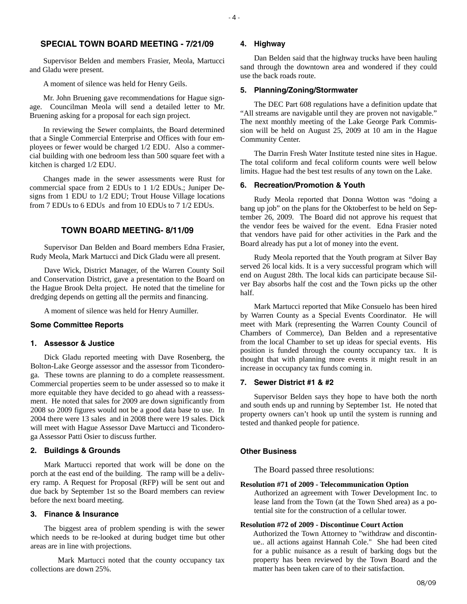## **SPECIAL TOWN BOARD MEETING - 7/21/09**

Supervisor Belden and members Frasier, Meola, Martucci and Gladu were present.

A moment of silence was held for Henry Geils.

Mr. John Bruening gave recommendations for Hague signage. Councilman Meola will send a detailed letter to Mr. Bruening asking for a proposal for each sign project.

In reviewing the Sewer complaints, the Board determined that a Single Commercial Enterprise and Offices with four employees or fewer would be charged 1/2 EDU. Also a commercial building with one bedroom less than 500 square feet with a kitchen is charged 1/2 EDU.

Changes made in the sewer assessments were Rust for commercial space from 2 EDUs to 1 1/2 EDUs.; Juniper Designs from 1 EDU to 1/2 EDU; Trout House Village locations from 7 EDUs to 6 EDUs and from 10 EDUs to 7 1/2 EDUs.

### **TOWN BOARD MEETING- 8/11/09**

Supervisor Dan Belden and Board members Edna Frasier, Rudy Meola, Mark Martucci and Dick Gladu were all present.

Dave Wick, District Manager, of the Warren County Soil and Conservation District, gave a presentation to the Board on the Hague Brook Delta project. He noted that the timeline for dredging depends on getting all the permits and financing.

A moment of silence was held for Henry Aumiller.

#### **Some Committee Reports**

### **1. Assessor & Justice**

Dick Gladu reported meeting with Dave Rosenberg, the Bolton-Lake George assessor and the assessor from Ticonderoga. These towns are planning to do a complete reassessment. Commercial properties seem to be under assessed so to make it more equitable they have decided to go ahead with a reassessment. He noted that sales for 2009 are down significantly from 2008 so 2009 figures would not be a good data base to use. In 2004 there were 13 sales and in 2008 there were 19 sales. Dick will meet with Hague Assessor Dave Martucci and Ticonderoga Assessor Patti Osier to discuss further.

#### **2. Buildings & Grounds**

Mark Martucci reported that work will be done on the porch at the east end of the building. The ramp will be a delivery ramp. A Request for Proposal (RFP) will be sent out and due back by September 1st so the Board members can review before the next board meeting.

#### **3. Finance & Insurance**

The biggest area of problem spending is with the sewer which needs to be re-looked at during budget time but other areas are in line with projections.

 Mark Martucci noted that the county occupancy tax collections are down 25%.

#### **4. Highway**

Dan Belden said that the highway trucks have been hauling sand through the downtown area and wondered if they could use the back roads route.

#### **5. Planning/Zoning/Stormwater**

The DEC Part 608 regulations have a definition update that "All streams are navigable until they are proven not navigable." The next monthly meeting of the Lake George Park Commission will be held on August 25, 2009 at 10 am in the Hague Community Center.

The Darrin Fresh Water Institute tested nine sites in Hague. The total coliform and fecal coliform counts were well below limits. Hague had the best test results of any town on the Lake.

#### **6. Recreation/Promotion & Youth**

Rudy Meola reported that Donna Wotton was "doing a bang up job" on the plans for the Oktoberfest to be held on September 26, 2009. The Board did not approve his request that the vendor fees be waived for the event. Edna Frasier noted that vendors have paid for other activities in the Park and the Board already has put a lot of money into the event.

Rudy Meola reported that the Youth program at Silver Bay served 26 local kids. It is a very successful program which will end on August 28th. The local kids can participate because Silver Bay absorbs half the cost and the Town picks up the other half.

Mark Martucci reported that Mike Consuelo has been hired by Warren County as a Special Events Coordinator. He will meet with Mark (representing the Warren County Council of Chambers of Commerce), Dan Belden and a representative from the local Chamber to set up ideas for special events. His position is funded through the county occupancy tax. It is thought that with planning more events it might result in an increase in occupancy tax funds coming in.

#### **7. Sewer District #1 & #2**

Supervisor Belden says they hope to have both the north and south ends up and running by September 1st. He noted that property owners can't hook up until the system is running and tested and thanked people for patience.

#### **Other Business**

The Board passed three resolutions:

#### **Resolution #71 of 2009 - Telecommunication Option**

Authorized an agreement with Tower Development Inc. to lease land from the Town (at the Town Shed area) as a potential site for the construction of a cellular tower.

## **Resolution #72 of 2009 - Discontinue Court Action**

Authorized the Town Attorney to "withdraw and discontinue.. all actions against Hannah Cole." She had been cited for a public nuisance as a result of barking dogs but the property has been reviewed by the Town Board and the matter has been taken care of to their satisfaction.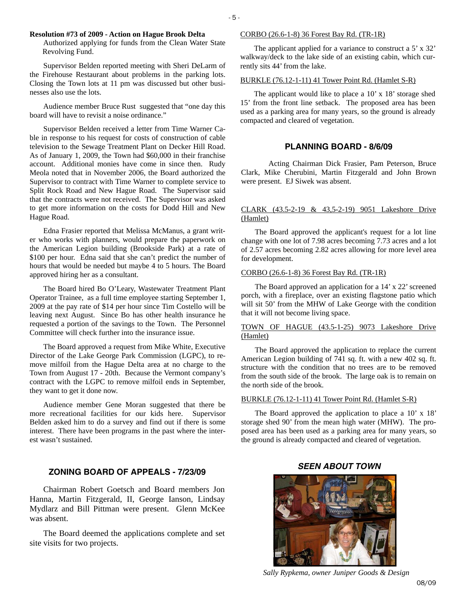#### **Resolution #73 of 2009 - Action on Hague Brook Delta**

Authorized applying for funds from the Clean Water State Revolving Fund.

Supervisor Belden reported meeting with Sheri DeLarm of the Firehouse Restaurant about problems in the parking lots. Closing the Town lots at 11 pm was discussed but other businesses also use the lots.

Audience member Bruce Rust suggested that "one day this board will have to revisit a noise ordinance."

Supervisor Belden received a letter from Time Warner Cable in response to his request for costs of construction of cable television to the Sewage Treatment Plant on Decker Hill Road. As of January 1, 2009, the Town had \$60,000 in their franchise account. Additional monies have come in since then. Rudy Meola noted that in November 2006, the Board authorized the Supervisor to contract with Time Warner to complete service to Split Rock Road and New Hague Road. The Supervisor said that the contracts were not received. The Supervisor was asked to get more information on the costs for Dodd Hill and New Hague Road.

Edna Frasier reported that Melissa McManus, a grant writer who works with planners, would prepare the paperwork on the American Legion building (Brookside Park) at a rate of \$100 per hour. Edna said that she can't predict the number of hours that would be needed but maybe 4 to 5 hours. The Board approved hiring her as a consultant.

The Board hired Bo O'Leary, Wastewater Treatment Plant Operator Trainee, as a full time employee starting September 1, 2009 at the pay rate of \$14 per hour since Tim Costello will be leaving next August. Since Bo has other health insurance he requested a portion of the savings to the Town. The Personnel Committee will check further into the insurance issue.

The Board approved a request from Mike White, Executive Director of the Lake George Park Commission (LGPC), to remove milfoil from the Hague Delta area at no charge to the Town from August 17 - 20th. Because the Vermont company's contract with the LGPC to remove milfoil ends in September, they want to get it done now.

Audience member Gene Moran suggested that there be more recreational facilities for our kids here. Supervisor Belden asked him to do a survey and find out if there is some interest. There have been programs in the past where the interest wasn't sustained.

### **ZONING BOARD OF APPEALS - 7/23/09**

Chairman Robert Goetsch and Board members Jon Hanna, Martin Fitzgerald, II, George Ianson, Lindsay Mydlarz and Bill Pittman were present. Glenn McKee was absent.

The Board deemed the applications complete and set site visits for two projects.

#### CORBO (26.6-1-8) 36 Forest Bay Rd. (TR-1R)

The applicant applied for a variance to construct a 5' x 32' walkway/deck to the lake side of an existing cabin, which currently sits 44' from the lake.

#### BURKLE (76.12-1-11) 41 Tower Point Rd. (Hamlet S-R)

The applicant would like to place a 10' x 18' storage shed 15' from the front line setback. The proposed area has been used as a parking area for many years, so the ground is already compacted and cleared of vegetation.

#### **PLANNING BOARD - 8/6/09**

 Acting Chairman Dick Frasier, Pam Peterson, Bruce Clark, Mike Cherubini, Martin Fitzgerald and John Brown were present. EJ Siwek was absent.

#### CLARK (43.5-2-19 & 43,5-2-19) 9051 Lakeshore Drive (Hamlet)

The Board approved the applicant's request for a lot line change with one lot of 7.98 acres becoming 7.73 acres and a lot of 2.57 acres becoming 2.82 acres allowing for more level area for development.

#### CORBO (26.6-1-8) 36 Forest Bay Rd. (TR-1R)

The Board approved an application for a 14' x 22' screened porch, with a fireplace, over an existing flagstone patio which will sit 50' from the MHW of Lake George with the condition that it will not become living space.

#### TOWN OF HAGUE (43.5-1-25) 9073 Lakeshore Drive (Hamlet)

The Board approved the application to replace the current American Legion building of 741 sq. ft. with a new 402 sq. ft. structure with the condition that no trees are to be removed from the south side of the brook. The large oak is to remain on the north side of the brook.

#### BURKLE (76.12-1-11) 41 Tower Point Rd. (Hamlet S-R)

The Board approved the application to place a 10' x 18' storage shed 90' from the mean high water (MHW). The proposed area has been used as a parking area for many years, so the ground is already compacted and cleared of vegetation.

## *SEEN ABOUT TOWN*



*Sally Rypkema, owner Juniper Goods & Design*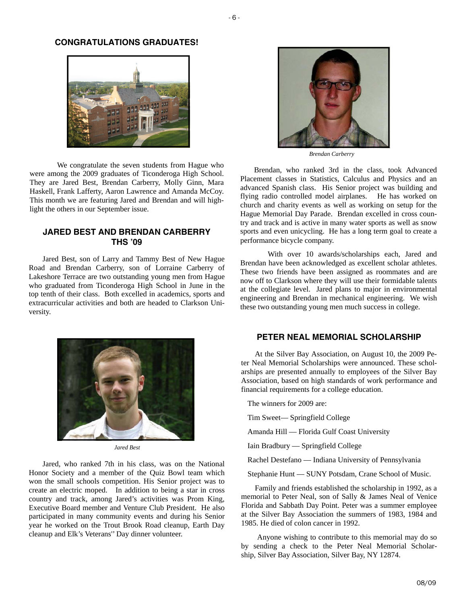#### **CONGRATULATIONS GRADUATES!**



 We congratulate the seven students from Hague who were among the 2009 graduates of Ticonderoga High School. They are Jared Best, Brendan Carberry, Molly Ginn, Mara Haskell, Frank Lafferty, Aaron Lawrence and Amanda McCoy. This month we are featuring Jared and Brendan and will highlight the others in our September issue.

## **JARED BEST AND BRENDAN CARBERRY THS '09**

Jared Best, son of Larry and Tammy Best of New Hague Road and Brendan Carberry, son of Lorraine Carberry of Lakeshore Terrace are two outstanding young men from Hague who graduated from Ticonderoga High School in June in the top tenth of their class. Both excelled in academics, sports and extracurricular activities and both are headed to Clarkson University.



*Jared Best* 

Jared, who ranked 7th in his class, was on the National Honor Society and a member of the Quiz Bowl team which won the small schools competition. His Senior project was to create an electric moped. In addition to being a star in cross country and track, among Jared's activities was Prom King, Executive Board member and Venture Club President. He also participated in many community events and during his Senior year he worked on the Trout Brook Road cleanup, Earth Day cleanup and Elk's Veterans'' Day dinner volunteer.



*Brendan Carberry* 

Brendan, who ranked 3rd in the class, took Advanced Placement classes in Statistics, Calculus and Physics and an advanced Spanish class. His Senior project was building and flying radio controlled model airplanes. He has worked on church and charity events as well as working on setup for the Hague Memorial Day Parade. Brendan excelled in cross country and track and is active in many water sports as well as snow sports and even unicycling. He has a long term goal to create a performance bicycle company.

 With over 10 awards/scholarships each, Jared and Brendan have been acknowledged as excellent scholar athletes. These two friends have been assigned as roommates and are now off to Clarkson where they will use their formidable talents at the collegiate level. Jared plans to major in environmental engineering and Brendan in mechanical engineering. We wish these two outstanding young men much success in college.

## **PETER NEAL MEMORIAL SCHOLARSHIP**

At the Silver Bay Association, on August 10, the 2009 Peter Neal Memorial Scholarships were announced. These scholarships are presented annually to employees of the Silver Bay Association, based on high standards of work performance and financial requirements for a college education.

The winners for 2009 are:

Tim Sweet— Springfield College

Amanda Hill — Florida Gulf Coast University

Iain Bradbury — Springfield College

Rachel Destefano — Indiana University of Pennsylvania

Stephanie Hunt — SUNY Potsdam, Crane School of Music.

Family and friends established the scholarship in 1992, as a memorial to Peter Neal, son of Sally & James Neal of Venice Florida and Sabbath Day Point. Peter was a summer employee at the Silver Bay Association the summers of 1983, 1984 and 1985. He died of colon cancer in 1992.

 Anyone wishing to contribute to this memorial may do so by sending a check to the Peter Neal Memorial Scholarship, Silver Bay Association, Silver Bay, NY 12874.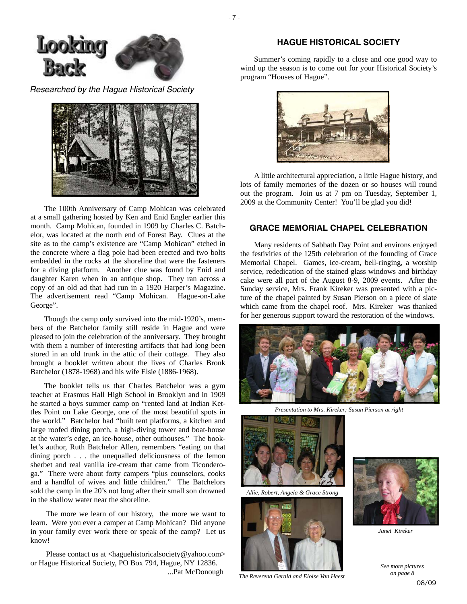

*Researched by the Hague Historical Society* 



The 100th Anniversary of Camp Mohican was celebrated at a small gathering hosted by Ken and Enid Engler earlier this month. Camp Mohican, founded in 1909 by Charles C. Batchelor, was located at the north end of Forest Bay. Clues at the site as to the camp's existence are "Camp Mohican" etched in the concrete where a flag pole had been erected and two bolts embedded in the rocks at the shoreline that were the fasteners for a diving platform. Another clue was found by Enid and daughter Karen when in an antique shop. They ran across a copy of an old ad that had run in a 1920 Harper's Magazine. The advertisement read "Camp Mohican. Hague-on-Lake George".

Though the camp only survived into the mid-1920's, members of the Batchelor family still reside in Hague and were pleased to join the celebration of the anniversary. They brought with them a number of interesting artifacts that had long been stored in an old trunk in the attic of their cottage. They also brought a booklet written about the lives of Charles Bronk Batchelor (1878-1968) and his wife Elsie (1886-1968).

The booklet tells us that Charles Batchelor was a gym teacher at Erasmus Hall High School in Brooklyn and in 1909 he started a boys summer camp on "rented land at Indian Kettles Point on Lake George, one of the most beautiful spots in the world." Batchelor had "built tent platforms, a kitchen and large roofed dining porch, a high-diving tower and boat-house at the water's edge, an ice-house, other outhouses." The booklet's author, Ruth Batchelor Allen, remembers "eating on that dining porch . . . the unequalled deliciousness of the lemon sherbet and real vanilla ice-cream that came from Ticonderoga." There were about forty campers "plus counselors, cooks and a handful of wives and little children." The Batchelors sold the camp in the 20's not long after their small son drowned in the shallow water near the shoreline.

 The more we learn of our history, the more we want to learn. Were you ever a camper at Camp Mohican? Did anyone in your family ever work there or speak of the camp? Let us know!

Please contact us at <haguehistoricalsociety@yahoo.com> or Hague Historical Society, PO Box 794, Hague, NY 12836. ...Pat McDonough

## **HAGUE HISTORICAL SOCIETY**

Summer's coming rapidly to a close and one good way to wind up the season is to come out for your Historical Society's program "Houses of Hague".



A little architectural appreciation, a little Hague history, and lots of family memories of the dozen or so houses will round out the program. Join us at 7 pm on Tuesday, September 1, 2009 at the Community Center! You'll be glad you did!

## **GRACE MEMORIAL CHAPEL CELEBRATION**

Many residents of Sabbath Day Point and environs enjoyed the festivities of the 125th celebration of the founding of Grace Memorial Chapel. Games, ice-cream, bell-ringing, a worship service, rededication of the stained glass windows and birthday cake were all part of the August 8-9, 2009 events. After the Sunday service, Mrs. Frank Kireker was presented with a picture of the chapel painted by Susan Pierson on a piece of slate which came from the chapel roof. Mrs. Kireker was thanked for her generous support toward the restoration of the windows.



*Presentation to Mrs. Kireker; Susan Pierson at right* 



*Allie, Robert, Angela & Grace Strong* 



*The Reverend Gerald and Eloise Van Heest* 



*Janet Kireker* 

 08/09 *See more pictures on page 8*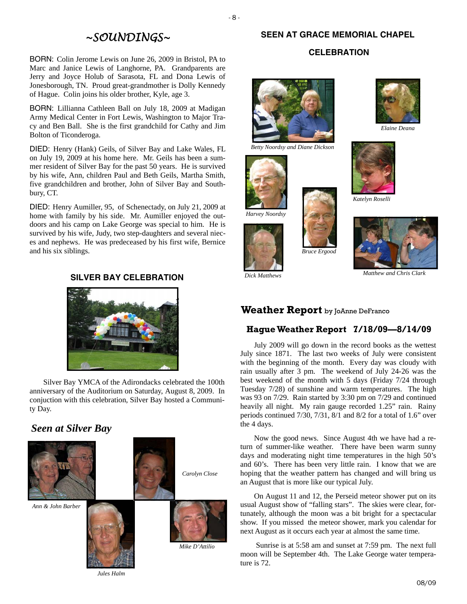# *~SOUNDINGS~*

BORN: Colin Jerome Lewis on June 26, 2009 in Bristol, PA to Marc and Janice Lewis of Langhorne, PA. Grandparents are Jerry and Joyce Holub of Sarasota, FL and Dona Lewis of Jonesborough, TN. Proud great-grandmother is Dolly Kennedy of Hague. Colin joins his older brother, Kyle, age 3.

BORN: Lillianna Cathleen Ball on July 18, 2009 at Madigan Army Medical Center in Fort Lewis, Washington to Major Tracy and Ben Ball. She is the first grandchild for Cathy and Jim Bolton of Ticonderoga.

DIED: Henry (Hank) Geils, of Silver Bay and Lake Wales, FL on July 19, 2009 at his home here. Mr. Geils has been a summer resident of Silver Bay for the past 50 years. He is survived by his wife, Ann, children Paul and Beth Geils, Martha Smith, five grandchildren and brother, John of Silver Bay and Southbury, CT.

DIED: Henry Aumiller, 95, of Schenectady, on July 21, 2009 at home with family by his side. Mr. Aumiller enjoyed the outdoors and his camp on Lake George was special to him. He is survived by his wife, Judy, two step-daughters and several nieces and nephews. He was predeceased by his first wife, Bernice and his six siblings.

## **SILVER BAY CELEBRATION**



Silver Bay YMCA of the Adirondacks celebrated the 100th anniversary of the Auditorium on Saturday, August 8, 2009. In conjuction with this celebration, Silver Bay hosted a Community Day.

## *Seen at Silver Bay*



*Mike D'Attilio* 

## **SEEN AT GRACE MEMORIAL CHAPEL**

## **CELEBRATION**



*Betty Noordsy and Diane Dickson* 











*Katelyn Roselli* 



*Matthew and Chris Clark Dick Matthews* 

## **Weather Report** by JoAnne DeFranco

## **Hague Weather Report 7/18/09—8/14/09**

July 2009 will go down in the record books as the wettest July since 1871. The last two weeks of July were consistent with the beginning of the month. Every day was cloudy with rain usually after 3 pm. The weekend of July 24-26 was the best weekend of the month with 5 days (Friday 7/24 through Tuesday 7/28) of sunshine and warm temperatures. The high was 93 on 7/29. Rain started by 3:30 pm on 7/29 and continued heavily all night. My rain gauge recorded 1.25" rain. Rainy periods continued 7/30, 7/31, 8/1 and 8/2 for a total of 1.6" over the 4 days.

Now the good news. Since August 4th we have had a return of summer-like weather. There have been warm sunny days and moderating night time temperatures in the high 50's and 60's. There has been very little rain. I know that we are hoping that the weather pattern has changed and will bring us an August that is more like our typical July.

On August 11 and 12, the Perseid meteor shower put on its usual August show of "falling stars". The skies were clear, fortunately, although the moon was a bit bright for a spectacular show. If you missed the meteor shower, mark you calendar for next August as it occurs each year at almost the same time.

 Sunrise is at 5:58 am and sunset at 7:59 pm. The next full moon will be September 4th. The Lake George water temperature is 72.

*Jules Halm*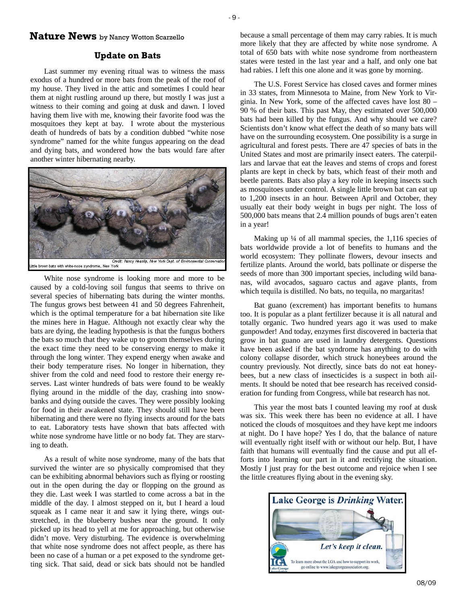## **Nature News** by Nancy Wotton Scarzello

### **Update on Bats**

- 9 -

Last summer my evening ritual was to witness the mass exodus of a hundred or more bats from the peak of the roof of my house. They lived in the attic and sometimes I could hear them at night rustling around up there, but mostly I was just a witness to their coming and going at dusk and dawn. I loved having them live with me, knowing their favorite food was the mosquitoes they kept at bay. I wrote about the mysterious death of hundreds of bats by a condition dubbed "white nose syndrome" named for the white fungus appearing on the dead and dying bats, and wondered how the bats would fare after another winter hibernating nearby.



White nose syndrome is looking more and more to be caused by a cold-loving soil fungus that seems to thrive on several species of hibernating bats during the winter months. The fungus grows best between 41 and 50 degrees Fahrenheit, which is the optimal temperature for a bat hibernation site like the mines here in Hague. Although not exactly clear why the bats are dying, the leading hypothesis is that the fungus bothers the bats so much that they wake up to groom themselves during the exact time they need to be conserving energy to make it through the long winter. They expend energy when awake and their body temperature rises. No longer in hibernation, they shiver from the cold and need food to restore their energy reserves. Last winter hundreds of bats were found to be weakly flying around in the middle of the day, crashing into snowbanks and dying outside the caves. They were possibly looking for food in their awakened state. They should still have been hibernating and there were no flying insects around for the bats to eat. Laboratory tests have shown that bats affected with white nose syndrome have little or no body fat. They are starving to death.

As a result of white nose syndrome, many of the bats that survived the winter are so physically compromised that they can be exhibiting abnormal behaviors such as flying or roosting out in the open during the day or flopping on the ground as they die. Last week I was startled to come across a bat in the middle of the day. I almost stepped on it, but I heard a loud squeak as I came near it and saw it lying there, wings outstretched, in the blueberry bushes near the ground. It only picked up its head to yell at me for approaching, but otherwise didn't move. Very disturbing. The evidence is overwhelming that white nose syndrome does not affect people, as there has been no case of a human or a pet exposed to the syndrome getting sick. That said, dead or sick bats should not be handled because a small percentage of them may carry rabies. It is much more likely that they are affected by white nose syndrome. A total of 650 bats with white nose syndrome from northeastern states were tested in the last year and a half, and only one bat had rabies. I left this one alone and it was gone by morning.

The U.S. Forest Service has closed caves and former mines in 33 states, from Minnesota to Maine, from New York to Virginia. In New York, some of the affected caves have lost 80 – 90 % of their bats. This past May, they estimated over 500,000 bats had been killed by the fungus. And why should we care? Scientists don't know what effect the death of so many bats will have on the surrounding ecosystem. One possibility is a surge in agricultural and forest pests. There are 47 species of bats in the United States and most are primarily insect eaters. The caterpillars and larvae that eat the leaves and stems of crops and forest plants are kept in check by bats, which feast of their moth and beetle parents. Bats also play a key role in keeping insects such as mosquitoes under control. A single little brown bat can eat up to 1,200 insects in an hour. Between April and October, they usually eat their body weight in bugs per night. The loss of 500,000 bats means that 2.4 million pounds of bugs aren't eaten in a year!

Making up  $\frac{1}{4}$  of all mammal species, the 1,116 species of bats worldwide provide a lot of benefits to humans and the world ecosystem: They pollinate flowers, devour insects and fertilize plants. Around the world, bats pollinate or disperse the seeds of more than 300 important species, including wild bananas, wild avocados, saguaro cactus and agave plants, from which tequila is distilled. No bats, no tequila, no margaritas!

Bat guano (excrement) has important benefits to humans too. It is popular as a plant fertilizer because it is all natural and totally organic. Two hundred years ago it was used to make gunpowder! And today, enzymes first discovered in bacteria that grow in bat guano are used in laundry detergents. Questions have been asked if the bat syndrome has anything to do with colony collapse disorder, which struck honeybees around the country previously. Not directly, since bats do not eat honeybees, but a new class of insecticides is a suspect in both ailments. It should be noted that bee research has received consideration for funding from Congress, while bat research has not.

This year the most bats I counted leaving my roof at dusk was six. This week there has been no evidence at all. I have noticed the clouds of mosquitoes and they have kept me indoors at night. Do I have hope? Yes I do, that the balance of nature will eventually right itself with or without our help. But, I have faith that humans will eventually find the cause and put all efforts into learning our part in it and rectifying the situation. Mostly I just pray for the best outcome and rejoice when I see the little creatures flying about in the evening sky.